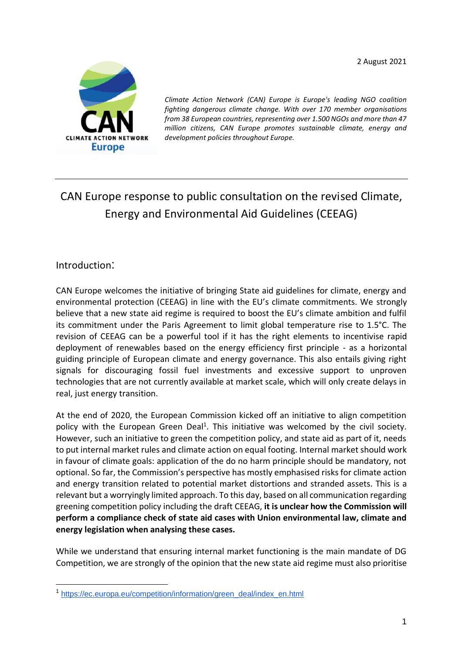2 August 2021



*Climate Action Network (CAN) Europe is Europe's leading NGO coalition fighting dangerous climate change. With over 170 member organisations from 38 European countries, representing over 1.500 NGOs and more than 47 million citizens, CAN Europe promotes sustainable climate, energy and development policies throughout Europe.*

# CAN Europe response to public consultation on the revised Climate, Energy and Environmental Aid Guidelines (CEEAG)

## Introduction:

CAN Europe welcomes the initiative of bringing State aid guidelines for climate, energy and environmental protection (CEEAG) in line with the EU's climate commitments. We strongly believe that a new state aid regime is required to boost the EU's climate ambition and fulfil its commitment under the Paris Agreement to limit global temperature rise to 1.5°C. The revision of CEEAG can be a powerful tool if it has the right elements to incentivise rapid deployment of renewables based on the energy efficiency first principle - as a horizontal guiding principle of European climate and energy governance. This also entails giving right signals for discouraging fossil fuel investments and excessive support to unproven technologies that are not currently available at market scale, which will only create delays in real, just energy transition.

At the end of 2020, the European Commission kicked off an initiative to align competition policy with the European Green Deal<sup>1</sup>. This initiative was welcomed by the civil society. However, such an initiative to green the competition policy, and state aid as part of it, needs to put internal market rules and climate action on equal footing. Internal market should work in favour of climate goals: application of the do no harm principle should be mandatory, not optional. So far, the Commission's perspective has mostly emphasised risks for climate action and energy transition related to potential market distortions and stranded assets. This is a relevant but a worryingly limited approach. To this day, based on all communication regarding greening competition policy including the draft CEEAG, **it is unclear how the Commission will perform a compliance check of state aid cases with Union environmental law, climate and energy legislation when analysing these cases.**

While we understand that ensuring internal market functioning is the main mandate of DG Competition, we are strongly of the opinion that the new state aid regime must also prioritise

<sup>1</sup> [https://ec.europa.eu/competition/information/green\\_deal/index\\_en.html](https://ec.europa.eu/competition/information/green_deal/index_en.html)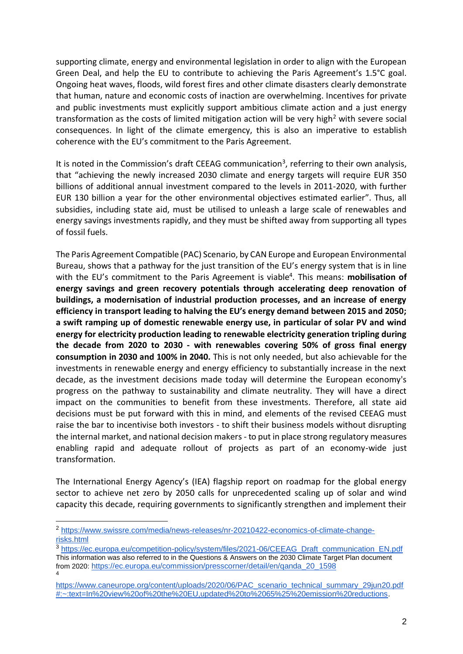supporting climate, energy and environmental legislation in order to align with the European Green Deal, and help the EU to contribute to achieving the Paris Agreement's 1.5°C goal. Ongoing heat waves, floods, wild forest fires and other climate disasters clearly demonstrate that human, nature and economic costs of inaction are overwhelming. Incentives for private and public investments must explicitly support ambitious climate action and a just energy transformation as the costs of limited mitigation action will be very high<sup>2</sup> with severe social consequences. In light of the climate emergency, this is also an imperative to establish coherence with the EU's commitment to the Paris Agreement.

It is noted in the Commission's draft CEEAG communication<sup>3</sup>, referring to their own analysis, that "achieving the newly increased 2030 climate and energy targets will require EUR 350 billions of additional annual investment compared to the levels in 2011-2020, with further EUR 130 billion a year for the other environmental objectives estimated earlier". Thus, all subsidies, including state aid, must be utilised to unleash a large scale of renewables and energy savings investments rapidly, and they must be shifted away from supporting all types of fossil fuels.

The Paris Agreement Compatible (PAC) Scenario, by CAN Europe and European Environmental Bureau, shows that a pathway for the just transition of the EU's energy system that is in line with the EU's commitment to the Paris Agreement is viable<sup>4</sup>. This means: **mobilisation of energy savings and green recovery potentials through accelerating deep renovation of buildings, a modernisation of industrial production processes, and an increase of energy efficiency in transport leading to halving the EU's energy demand between 2015 and 2050; a swift ramping up of domestic renewable energy use, in particular of solar PV and wind energy for electricity production leading to renewable electricity generation tripling during the decade from 2020 to 2030 - with renewables covering 50% of gross final energy consumption in 2030 and 100% in 2040.** This is not only needed, but also achievable for the investments in renewable energy and energy efficiency to substantially increase in the next decade, as the investment decisions made today will determine the European economy's progress on the pathway to sustainability and climate neutrality. They will have a direct impact on the communities to benefit from these investments. Therefore, all state aid decisions must be put forward with this in mind, and elements of the revised CEEAG must raise the bar to incentivise both investors - to shift their business models without disrupting the internal market, and national decision makers - to put in place strong regulatory measures enabling rapid and adequate rollout of projects as part of an economy-wide just transformation.

The International Energy Agency's (IEA) flagship report on roadmap for the global energy sector to achieve net zero by 2050 calls for unprecedented scaling up of solar and wind capacity this decade, requiring governments to significantly strengthen and implement their

3 [https://ec.europa.eu/competition-policy/system/files/2021-06/CEEAG\\_Draft\\_communication\\_EN.pdf](https://ec.europa.eu/competition-policy/system/files/2021-06/CEEAG_Draft_communication_EN.pdf) This information was also referred to in the Questions & Answers on the 2030 Climate Target Plan document from 2020: [https://ec.europa.eu/commission/presscorner/detail/en/qanda\\_20\\_1598](https://ec.europa.eu/commission/presscorner/detail/en/qanda_20_1598) 4

<sup>2</sup> [https://www.swissre.com/media/news-releases/nr-20210422-economics-of-climate-change](https://www.swissre.com/media/news-releases/nr-20210422-economics-of-climate-change-risks.html)[risks.html](https://www.swissre.com/media/news-releases/nr-20210422-economics-of-climate-change-risks.html)

[https://www.caneurope.org/content/uploads/2020/06/PAC\\_scenario\\_technical\\_summary\\_29jun20.pdf](https://www.caneurope.org/content/uploads/2020/06/PAC_scenario_technical_summary_29jun20.pdf#:~:text=In%20view%20of%20the%20EU,updated%20to%2065%25%20emission%20reductions) [#:~:text=In%20view%20of%20the%20EU,updated%20to%2065%25%20emission%20reductions.](https://www.caneurope.org/content/uploads/2020/06/PAC_scenario_technical_summary_29jun20.pdf#:~:text=In%20view%20of%20the%20EU,updated%20to%2065%25%20emission%20reductions)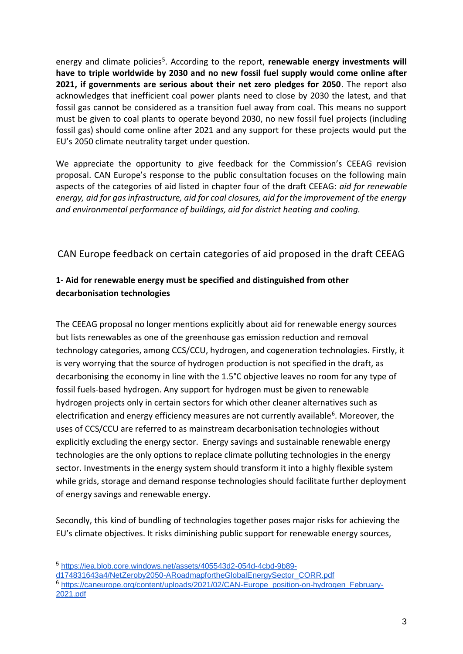energy and climate policies<sup>5</sup>. According to the report, **renewable energy investments will have to triple worldwide by 2030 and no new fossil fuel supply would come online after 2021, if governments are serious about their net zero pledges for 2050**. The report also acknowledges that inefficient coal power plants need to close by 2030 the latest, and that fossil gas cannot be considered as a transition fuel away from coal. This means no support must be given to coal plants to operate beyond 2030, no new fossil fuel projects (including fossil gas) should come online after 2021 and any support for these projects would put the EU's 2050 climate neutrality target under question.

We appreciate the opportunity to give feedback for the Commission's CEEAG revision proposal. CAN Europe's response to the public consultation focuses on the following main aspects of the categories of aid listed in chapter four of the draft CEEAG: *aid for renewable energy, aid for gas infrastructure, aid for coal closures, aid for the improvement of the energy and environmental performance of buildings, aid for district heating and cooling.* 

CAN Europe feedback on certain categories of aid proposed in the draft CEEAG

# **1- Aid for renewable energy must be specified and distinguished from other decarbonisation technologies**

The CEEAG proposal no longer mentions explicitly about aid for renewable energy sources but lists renewables as one of the greenhouse gas emission reduction and removal technology categories, among CCS/CCU, hydrogen, and cogeneration technologies. Firstly, it is very worrying that the source of hydrogen production is not specified in the draft, as decarbonising the economy in line with the 1.5°C objective leaves no room for any type of fossil fuels-based hydrogen. Any support for hydrogen must be given to renewable hydrogen projects only in certain sectors for which other cleaner alternatives such as electrification and energy efficiency measures are not currently available<sup>6</sup>. Moreover, the uses of CCS/CCU are referred to as mainstream decarbonisation technologies without explicitly excluding the energy sector. Energy savings and sustainable renewable energy technologies are the only options to replace climate polluting technologies in the energy sector. Investments in the energy system should transform it into a highly flexible system while grids, storage and demand response technologies should facilitate further deployment of energy savings and renewable energy.

Secondly, this kind of bundling of technologies together poses major risks for achieving the EU's climate objectives. It risks diminishing public support for renewable energy sources,

<sup>5</sup> [https://iea.blob.core.windows.net/assets/405543d2-054d-4cbd-9b89-](https://iea.blob.core.windows.net/assets/405543d2-054d-4cbd-9b89-d174831643a4/NetZeroby2050-ARoadmapfortheGlobalEnergySector_CORR.pdf)

[d174831643a4/NetZeroby2050-ARoadmapfortheGlobalEnergySector\\_CORR.pdf](https://iea.blob.core.windows.net/assets/405543d2-054d-4cbd-9b89-d174831643a4/NetZeroby2050-ARoadmapfortheGlobalEnergySector_CORR.pdf)

<sup>&</sup>lt;sup>6</sup> [https://caneurope.org/content/uploads/2021/02/CAN-Europe\\_position-on-hydrogen\\_February-](https://caneurope.org/content/uploads/2021/02/CAN-Europe_position-on-hydrogen_February-2021.pdf)[2021.pdf](https://caneurope.org/content/uploads/2021/02/CAN-Europe_position-on-hydrogen_February-2021.pdf)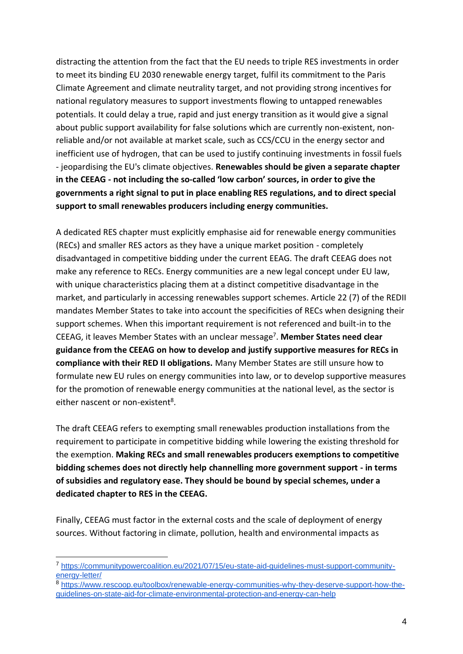distracting the attention from the fact that the EU needs to triple RES investments in order to meet its binding EU 2030 renewable energy target, fulfil its commitment to the Paris Climate Agreement and climate neutrality target, and not providing strong incentives for national regulatory measures to support investments flowing to untapped renewables potentials. It could delay a true, rapid and just energy transition as it would give a signal about public support availability for false solutions which are currently non-existent, nonreliable and/or not available at market scale, such as CCS/CCU in the energy sector and inefficient use of hydrogen, that can be used to justify continuing investments in fossil fuels - jeopardising the EU's climate objectives. **Renewables should be given a separate chapter in the CEEAG - not including the so-called 'low carbon' sources, in order to give the governments a right signal to put in place enabling RES regulations, and to direct special support to small renewables producers including energy communities.**

A dedicated RES chapter must explicitly emphasise aid for renewable energy communities (RECs) and smaller RES actors as they have a unique market position - completely disadvantaged in competitive bidding under the current EEAG. The draft CEEAG does not make any reference to RECs. Energy communities are a new legal concept under EU law, with unique characteristics placing them at a distinct competitive disadvantage in the market, and particularly in accessing renewables support schemes. Article 22 (7) of the REDII mandates Member States to take into account the specificities of RECs when designing their support schemes. When this important requirement is not referenced and built-in to the CEEAG, it leaves Member States with an unclear message<sup>7</sup>. Member States need clear **guidance from the CEEAG on how to develop and justify supportive measures for RECs in compliance with their RED II obligations.** Many Member States are still unsure how to formulate new EU rules on energy communities into law, or to develop supportive measures for the promotion of renewable energy communities at the national level, as the sector is either nascent or non-existent<sup>8</sup>.

The draft CEEAG refers to exempting small renewables production installations from the requirement to participate in competitive bidding while lowering the existing threshold for the exemption. **Making RECs and small renewables producers exemptions to competitive bidding schemes does not directly help channelling more government support - in terms of subsidies and regulatory ease. They should be bound by special schemes, under a dedicated chapter to RES in the CEEAG.** 

Finally, CEEAG must factor in the external costs and the scale of deployment of energy sources. Without factoring in climate, pollution, health and environmental impacts as

<sup>7</sup> [https://communitypowercoalition.eu/2021/07/15/eu-state-aid-guidelines-must-support-community](https://communitypowercoalition.eu/2021/07/15/eu-state-aid-guidelines-must-support-community-energy-letter/)[energy-letter/](https://communitypowercoalition.eu/2021/07/15/eu-state-aid-guidelines-must-support-community-energy-letter/)

<sup>8</sup> [https://www.rescoop.eu/toolbox/renewable-energy-communities-why-they-deserve-support-how-the](https://www.rescoop.eu/toolbox/renewable-energy-communities-why-they-deserve-support-how-the-guidelines-on-state-aid-for-climate-environmental-protection-and-energy-can-help)[guidelines-on-state-aid-for-climate-environmental-protection-and-energy-can-help](https://www.rescoop.eu/toolbox/renewable-energy-communities-why-they-deserve-support-how-the-guidelines-on-state-aid-for-climate-environmental-protection-and-energy-can-help)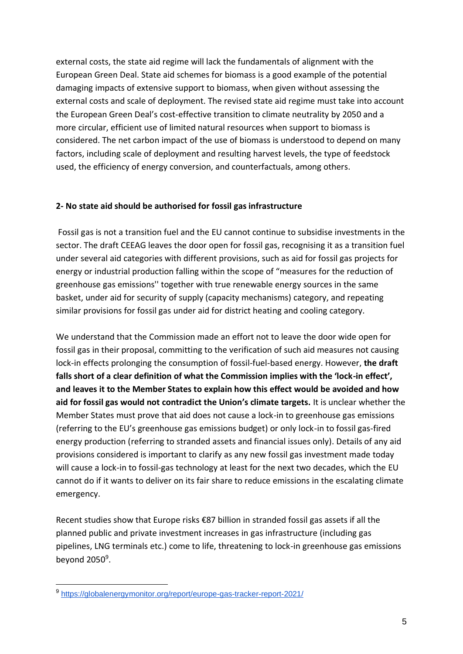external costs, the state aid regime will lack the fundamentals of alignment with the European Green Deal. State aid schemes for biomass is a good example of the potential damaging impacts of extensive support to biomass, when given without assessing the external costs and scale of deployment. The revised state aid regime must take into account the European Green Deal's cost-effective transition to climate neutrality by 2050 and a more circular, efficient use of limited natural resources when support to biomass is considered. The net carbon impact of the use of biomass is understood to depend on many factors, including scale of deployment and resulting harvest levels, the type of feedstock used, the efficiency of energy conversion, and counterfactuals, among others.

#### **2- No state aid should be authorised for fossil gas infrastructure**

Fossil gas is not a transition fuel and the EU cannot continue to subsidise investments in the sector. The draft CEEAG leaves the door open for fossil gas, recognising it as a transition fuel under several aid categories with different provisions, such as aid for fossil gas projects for energy or industrial production falling within the scope of "measures for the reduction of greenhouse gas emissions'' together with true renewable energy sources in the same basket, under aid for security of supply (capacity mechanisms) category, and repeating similar provisions for fossil gas under aid for district heating and cooling category.

We understand that the Commission made an effort not to leave the door wide open for fossil gas in their proposal, committing to the verification of such aid measures not causing lock-in effects prolonging the consumption of fossil-fuel-based energy. However, **the draft falls short of a clear definition of what the Commission implies with the 'lock-in effect', and leaves it to the Member States to explain how this effect would be avoided and how aid for fossil gas would not contradict the Union's climate targets.** It is unclear whether the Member States must prove that aid does not cause a lock-in to greenhouse gas emissions (referring to the EU's greenhouse gas emissions budget) or only lock-in to fossil gas-fired energy production (referring to stranded assets and financial issues only). Details of any aid provisions considered is important to clarify as any new fossil gas investment made today will cause a lock-in to fossil-gas technology at least for the next two decades, which the EU cannot do if it wants to deliver on its fair share to reduce emissions in the escalating climate emergency.

Recent studies show that Europe risks €87 billion in stranded fossil gas assets if all the planned public and private investment increases in gas infrastructure (including gas pipelines, LNG terminals etc.) come to life, threatening to lock-in greenhouse gas emissions beyond 2050<sup>9</sup>.

<sup>9</sup> <https://globalenergymonitor.org/report/europe-gas-tracker-report-2021/>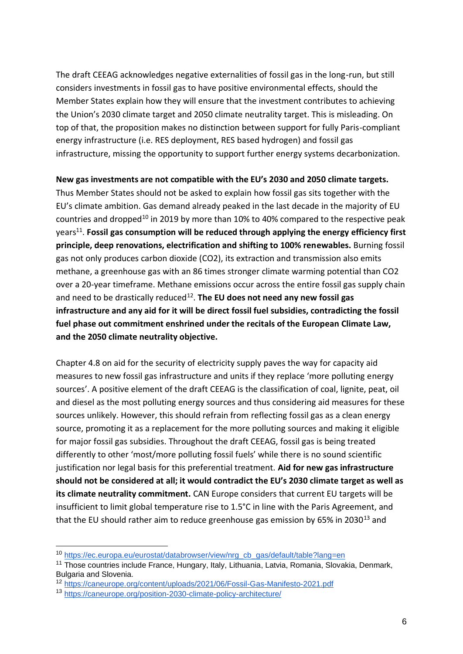The draft CEEAG acknowledges negative externalities of fossil gas in the long-run, but still considers investments in fossil gas to have positive environmental effects, should the Member States explain how they will ensure that the investment contributes to achieving the Union's 2030 climate target and 2050 climate neutrality target. This is misleading. On top of that, the proposition makes no distinction between support for fully Paris-compliant energy infrastructure (i.e. RES deployment, RES based hydrogen) and fossil gas infrastructure, missing the opportunity to support further energy systems decarbonization.

**New gas investments are not compatible with the EU's 2030 and 2050 climate targets.**  Thus Member States should not be asked to explain how fossil gas sits together with the EU's climate ambition. Gas demand already peaked in the last decade in the majority of EU countries and dropped<sup>10</sup> in 2019 by more than 10% to 40% compared to the respective peak years<sup>11</sup>. Fossil gas consumption will be reduced through applying the energy efficiency first **principle, deep renovations, electrification and shifting to 100% renewables.** Burning fossil gas not only produces carbon dioxide (CO2), its extraction and transmission also emits methane, a greenhouse gas with an 86 times stronger climate warming potential than CO2 over a 20-year timeframe. Methane emissions occur across the entire fossil gas supply chain and need to be drastically reduced<sup>12</sup>. The EU does not need any new fossil gas **infrastructure and any aid for it will be direct fossil fuel subsidies, contradicting the fossil** 

**fuel phase out commitment enshrined under the recitals of the European Climate Law, and the 2050 climate neutrality objective.** 

Chapter 4.8 on aid for the security of electricity supply paves the way for capacity aid measures to new fossil gas infrastructure and units if they replace 'more polluting energy sources'. A positive element of the draft CEEAG is the classification of coal, lignite, peat, oil and diesel as the most polluting energy sources and thus considering aid measures for these sources unlikely. However, this should refrain from reflecting fossil gas as a clean energy source, promoting it as a replacement for the more polluting sources and making it eligible for major fossil gas subsidies. Throughout the draft CEEAG, fossil gas is being treated differently to other 'most/more polluting fossil fuels' while there is no sound scientific justification nor legal basis for this preferential treatment. **Aid for new gas infrastructure should not be considered at all; it would contradict the EU's 2030 climate target as well as its climate neutrality commitment.** CAN Europe considers that current EU targets will be insufficient to limit global temperature rise to 1.5°C in line with the Paris Agreement, and that the EU should rather aim to reduce greenhouse gas emission by 65% in 2030 $^{13}$  and

<sup>10</sup> [https://ec.europa.eu/eurostat/databrowser/view/nrg\\_cb\\_gas/default/table?lang=en](https://ec.europa.eu/eurostat/databrowser/view/nrg_cb_gas/default/table?lang=en)

<sup>&</sup>lt;sup>11</sup> Those countries include France, Hungary, Italy, Lithuania, Latvia, Romania, Slovakia, Denmark, Bulgaria and Slovenia.

<sup>12</sup> <https://caneurope.org/content/uploads/2021/06/Fossil-Gas-Manifesto-2021.pdf>

<sup>13</sup> <https://caneurope.org/position-2030-climate-policy-architecture/>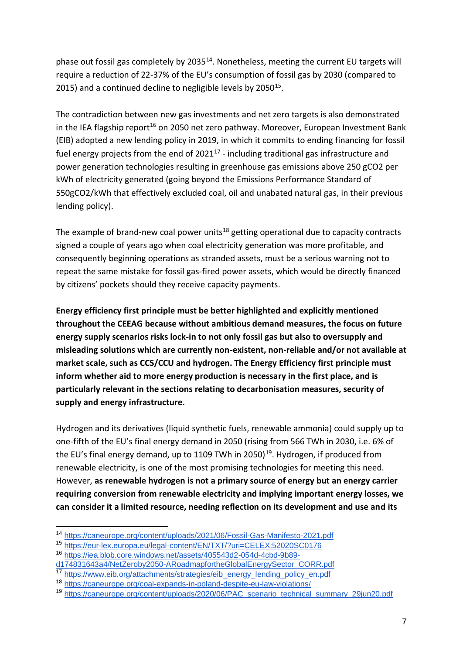phase out fossil gas completely by 2035<sup>14</sup>. Nonetheless, meeting the current EU targets will require a reduction of 22-37% of the EU's consumption of fossil gas by 2030 (compared to 2015) and a continued decline to negligible levels by  $2050^{15}$ .

The contradiction between new gas investments and net zero targets is also demonstrated in the IEA flagship report<sup>16</sup> on 2050 net zero pathway. Moreover, European Investment Bank (EIB) adopted a new lending policy in 2019, in which it commits to ending financing for fossil fuel energy projects from the end of  $2021^{17}$  - including traditional gas infrastructure and power generation technologies resulting in greenhouse gas emissions above 250 gCO2 per kWh of electricity generated (going beyond the Emissions Performance Standard of 550gCO2/kWh that effectively excluded coal, oil and unabated natural gas, in their previous lending policy).

The example of brand-new coal power units<sup>18</sup> getting operational due to capacity contracts signed a couple of years ago when coal electricity generation was more profitable, and consequently beginning operations as stranded assets, must be a serious warning not to repeat the same mistake for fossil gas-fired power assets, which would be directly financed by citizens' pockets should they receive capacity payments.

**Energy efficiency first principle must be better highlighted and explicitly mentioned throughout the CEEAG because without ambitious demand measures, the focus on future energy supply scenarios risks lock-in to not only fossil gas but also to oversupply and misleading solutions which are currently non-existent, non-reliable and/or not available at market scale, such as CCS/CCU and hydrogen. The Energy Efficiency first principle must inform whether aid to more energy production is necessary in the first place, and is particularly relevant in the sections relating to decarbonisation measures, security of supply and energy infrastructure.**

Hydrogen and its derivatives (liquid synthetic fuels, renewable ammonia) could supply up to one-fifth of the EU's final energy demand in 2050 (rising from 566 TWh in 2030, i.e. 6% of the EU's final energy demand, up to 1109 TWh in 2050)<sup>19</sup>. Hydrogen, if produced from renewable electricity, is one of the most promising technologies for meeting this need. However, **as renewable hydrogen is not a primary source of energy but an energy carrier requiring conversion from renewable electricity and implying important energy losses, we can consider it a limited resource, needing reflection on its development and use and its** 

<sup>14</sup> <https://caneurope.org/content/uploads/2021/06/Fossil-Gas-Manifesto-2021.pdf>

<sup>15</sup> <https://eur-lex.europa.eu/legal-content/EN/TXT/?uri=CELEX:52020SC0176>

<sup>16</sup> [https://iea.blob.core.windows.net/assets/405543d2-054d-4cbd-9b89-](https://iea.blob.core.windows.net/assets/405543d2-054d-4cbd-9b89-d174831643a4/NetZeroby2050-ARoadmapfortheGlobalEnergySector_CORR.pdf)

[d174831643a4/NetZeroby2050-ARoadmapfortheGlobalEnergySector\\_CORR.pdf](https://iea.blob.core.windows.net/assets/405543d2-054d-4cbd-9b89-d174831643a4/NetZeroby2050-ARoadmapfortheGlobalEnergySector_CORR.pdf) 

<sup>17</sup> [https://www.eib.org/attachments/strategies/eib\\_energy\\_lending\\_policy\\_en.pdf](https://www.eib.org/attachments/strategies/eib_energy_lending_policy_en.pdf)

<sup>18</sup> <https://caneurope.org/coal-expands-in-poland-despite-eu-law-violations/>

<sup>&</sup>lt;sup>19</sup> [https://caneurope.org/content/uploads/2020/06/PAC\\_scenario\\_technical\\_summary\\_29jun20.pdf](https://caneurope.org/content/uploads/2020/06/PAC_scenario_technical_summary_29jun20.pdf)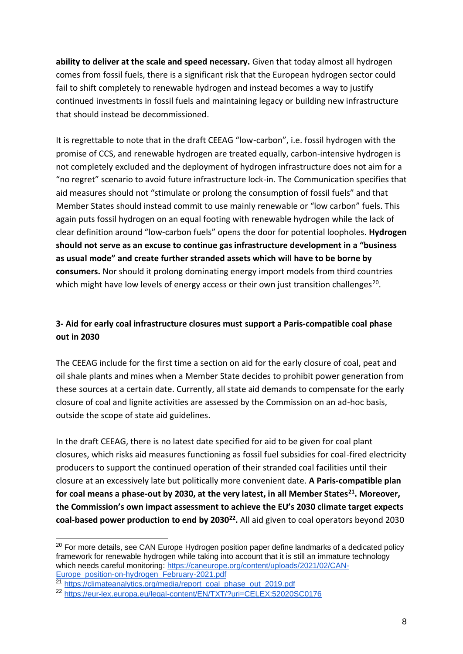**ability to deliver at the scale and speed necessary.** Given that today almost all hydrogen comes from fossil fuels, there is a significant risk that the European hydrogen sector could fail to shift completely to renewable hydrogen and instead becomes a way to justify continued investments in fossil fuels and maintaining legacy or building new infrastructure that should instead be decommissioned.

It is regrettable to note that in the draft CEEAG "low-carbon", i.e. fossil hydrogen with the promise of CCS, and renewable hydrogen are treated equally, carbon-intensive hydrogen is not completely excluded and the deployment of hydrogen infrastructure does not aim for a "no regret" scenario to avoid future infrastructure lock-in. The Communication specifies that aid measures should not "stimulate or prolong the consumption of fossil fuels" and that Member States should instead commit to use mainly renewable or "low carbon" fuels. This again puts fossil hydrogen on an equal footing with renewable hydrogen while the lack of clear definition around "low-carbon fuels" opens the door for potential loopholes. **Hydrogen should not serve as an excuse to continue gas infrastructure development in a "business as usual mode" and create further stranded assets which will have to be borne by consumers.** Nor should it prolong dominating energy import models from third countries which might have low levels of energy access or their own just transition challenges<sup>20</sup>.

# **3- Aid for early coal infrastructure closures must support a Paris-compatible coal phase out in 2030**

The CEEAG include for the first time a section on aid for the early closure of coal, peat and oil shale plants and mines when a Member State decides to prohibit power generation from these sources at a certain date. Currently, all state aid demands to compensate for the early closure of coal and lignite activities are assessed by the Commission on an ad-hoc basis, outside the scope of state aid guidelines.

In the draft CEEAG, there is no latest date specified for aid to be given for coal plant closures, which risks aid measures functioning as fossil fuel subsidies for coal-fired electricity producers to support the continued operation of their stranded coal facilities until their closure at an excessively late but politically more convenient date. **A Paris-compatible plan for coal means a phase-out by 2030, at the very latest, in all Member States<sup>21</sup>. Moreover, the Commission's own impact assessment to achieve the EU's 2030 climate target expects coal-based power production to end by 2030<sup>22</sup> .** All aid given to coal operators beyond 2030

<sup>&</sup>lt;sup>20</sup> For more details, see CAN Europe Hydrogen position paper define landmarks of a dedicated policy framework for renewable hydrogen while taking into account that it is still an immature technology which needs careful monitoring: [https://caneurope.org/content/uploads/2021/02/CAN-](https://caneurope.org/content/uploads/2021/02/CAN-Europe_position-on-hydrogen_February-2021.pdf)[Europe\\_position-on-hydrogen\\_February-2021.pdf](https://caneurope.org/content/uploads/2021/02/CAN-Europe_position-on-hydrogen_February-2021.pdf)

<sup>&</sup>lt;sup>21</sup> [https://climateanalytics.org/media/report\\_coal\\_phase\\_out\\_2019.pdf](https://climateanalytics.org/media/report_coal_phase_out_2019.pdf)

<sup>22</sup> <https://eur-lex.europa.eu/legal-content/EN/TXT/?uri=CELEX:52020SC0176>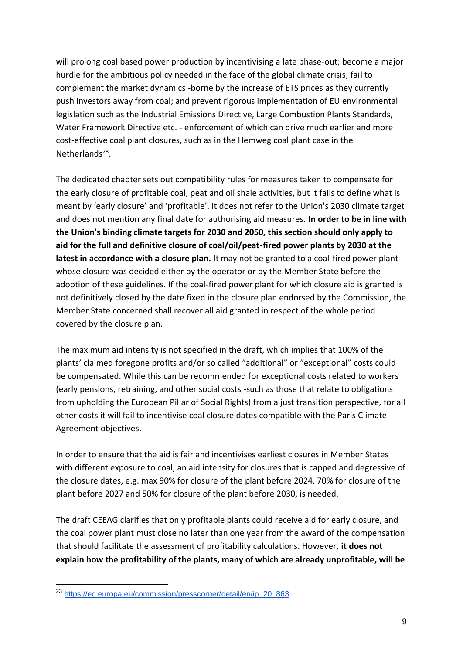will prolong coal based power production by incentivising a late phase-out; become a major hurdle for the ambitious policy needed in the face of the global climate crisis; fail to complement the market dynamics -borne by the increase of ETS prices as they currently push investors away from coal; and prevent rigorous implementation of EU environmental legislation such as the Industrial Emissions Directive, Large Combustion Plants Standards, Water Framework Directive etc. - enforcement of which can drive much earlier and more cost-effective coal plant closures, such as in the Hemweg coal plant case in the Netherlands<sup>23</sup>.

The dedicated chapter sets out compatibility rules for measures taken to compensate for the early closure of profitable coal, peat and oil shale activities, but it fails to define what is meant by 'early closure' and 'profitable'. It does not refer to the Union's 2030 climate target and does not mention any final date for authorising aid measures. **In order to be in line with the Union's binding climate targets for 2030 and 2050, this section should only apply to aid for the full and definitive closure of coal/oil/peat-fired power plants by 2030 at the latest in accordance with a closure plan.** It may not be granted to a coal-fired power plant whose closure was decided either by the operator or by the Member State before the adoption of these guidelines. If the coal-fired power plant for which closure aid is granted is not definitively closed by the date fixed in the closure plan endorsed by the Commission, the Member State concerned shall recover all aid granted in respect of the whole period covered by the closure plan.

The maximum aid intensity is not specified in the draft, which implies that 100% of the plants' claimed foregone profits and/or so called "additional" or "exceptional" costs could be compensated. While this can be recommended for exceptional costs related to workers (early pensions, retraining, and other social costs -such as those that relate to obligations from upholding the European Pillar of Social Rights) from a just transition perspective, for all other costs it will fail to incentivise coal closure dates compatible with the Paris Climate Agreement objectives.

In order to ensure that the aid is fair and incentivises earliest closures in Member States with different exposure to coal, an aid intensity for closures that is capped and degressive of the closure dates, e.g. max 90% for closure of the plant before 2024, 70% for closure of the plant before 2027 and 50% for closure of the plant before 2030, is needed.

The draft CEEAG clarifies that only profitable plants could receive aid for early closure, and the coal power plant must close no later than one year from the award of the compensation that should facilitate the assessment of profitability calculations. However, **it does not explain how the profitability of the plants, many of which are already unprofitable, will be** 

<sup>23</sup> [https://ec.europa.eu/commission/presscorner/detail/en/ip\\_20\\_863](https://ec.europa.eu/commission/presscorner/detail/en/ip_20_863)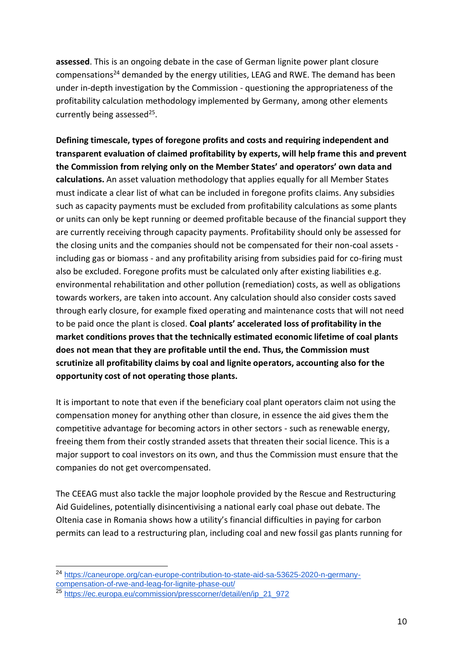**assessed**. This is an ongoing debate in the case of German lignite power plant closure compensations<sup>24</sup> demanded by the energy utilities, LEAG and RWE. The demand has been under in-depth investigation by the Commission - questioning the appropriateness of the profitability calculation methodology implemented by Germany, among other elements currently being assessed<sup>25</sup>.

**Defining timescale, types of foregone profits and costs and requiring independent and transparent evaluation of claimed profitability by experts, will help frame this and prevent the Commission from relying only on the Member States' and operators' own data and calculations.** An asset valuation methodology that applies equally for all Member States must indicate a clear list of what can be included in foregone profits claims. Any subsidies such as capacity payments must be excluded from profitability calculations as some plants or units can only be kept running or deemed profitable because of the financial support they are currently receiving through capacity payments. Profitability should only be assessed for the closing units and the companies should not be compensated for their non-coal assets including gas or biomass - and any profitability arising from subsidies paid for co-firing must also be excluded. Foregone profits must be calculated only after existing liabilities e.g. environmental rehabilitation and other pollution (remediation) costs, as well as obligations towards workers, are taken into account. Any calculation should also consider costs saved through early closure, for example fixed operating and maintenance costs that will not need to be paid once the plant is closed. **Coal plants' accelerated loss of profitability in the market conditions proves that the technically estimated economic lifetime of coal plants does not mean that they are profitable until the end. Thus, the Commission must scrutinize all profitability claims by coal and lignite operators, accounting also for the opportunity cost of not operating those plants.** 

It is important to note that even if the beneficiary coal plant operators claim not using the compensation money for anything other than closure, in essence the aid gives them the competitive advantage for becoming actors in other sectors - such as renewable energy, freeing them from their costly stranded assets that threaten their social licence. This is a major support to coal investors on its own, and thus the Commission must ensure that the companies do not get overcompensated.

The CEEAG must also tackle the major loophole provided by the Rescue and Restructuring Aid Guidelines, potentially disincentivising a national early coal phase out debate. The Oltenia case in Romania shows how a utility's financial difficulties in paying for carbon permits can lead to a restructuring plan, including coal and new fossil gas plants running for

<sup>24</sup> [https://caneurope.org/can-europe-contribution-to-state-aid-sa-53625-2020-n-germany](https://caneurope.org/can-europe-contribution-to-state-aid-sa-53625-2020-n-germany-compensation-of-rwe-and-leag-for-lignite-phase-out/)[compensation-of-rwe-and-leag-for-lignite-phase-out/](https://caneurope.org/can-europe-contribution-to-state-aid-sa-53625-2020-n-germany-compensation-of-rwe-and-leag-for-lignite-phase-out/)

<sup>25</sup> [https://ec.europa.eu/commission/presscorner/detail/en/ip\\_21\\_972](https://ec.europa.eu/commission/presscorner/detail/en/ip_21_972)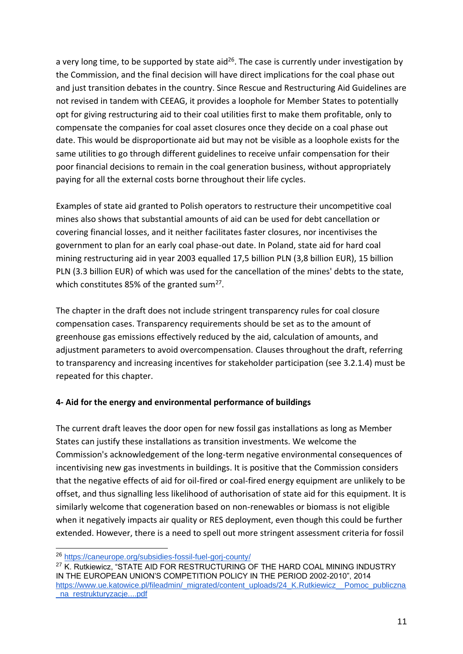a very long time, to be supported by state aid<sup>26</sup>. The case is currently under investigation by the Commission, and the final decision will have direct implications for the coal phase out and just transition debates in the country. Since Rescue and Restructuring Aid Guidelines are not revised in tandem with CEEAG, it provides a loophole for Member States to potentially opt for giving restructuring aid to their coal utilities first to make them profitable, only to compensate the companies for coal asset closures once they decide on a coal phase out date. This would be disproportionate aid but may not be visible as a loophole exists for the same utilities to go through different guidelines to receive unfair compensation for their poor financial decisions to remain in the coal generation business, without appropriately paying for all the external costs borne throughout their life cycles.

Examples of state aid granted to Polish operators to restructure their uncompetitive coal mines also shows that substantial amounts of aid can be used for debt cancellation or covering financial losses, and it neither facilitates faster closures, nor incentivises the government to plan for an early coal phase-out date. In Poland, state aid for hard coal mining restructuring aid in year 2003 equalled 17,5 billion PLN (3,8 billion EUR), 15 billion PLN (3.3 billion EUR) of which was used for the cancellation of the mines' debts to the state, which constitutes 85% of the granted sum<sup>27</sup>.

The chapter in the draft does not include stringent transparency rules for coal closure compensation cases. Transparency requirements should be set as to the amount of greenhouse gas emissions effectively reduced by the aid, calculation of amounts, and adjustment parameters to avoid overcompensation. Clauses throughout the draft, referring to transparency and increasing incentives for stakeholder participation (see 3.2.1.4) must be repeated for this chapter.

## **4- Aid for the energy and environmental performance of buildings**

The current draft leaves the door open for new fossil gas installations as long as Member States can justify these installations as transition investments. We welcome the Commission's acknowledgement of the long-term negative environmental consequences of incentivising new gas investments in buildings. It is positive that the Commission considers that the negative effects of aid for oil-fired or coal-fired energy equipment are unlikely to be offset, and thus signalling less likelihood of authorisation of state aid for this equipment. It is similarly welcome that cogeneration based on non-renewables or biomass is not eligible when it negatively impacts air quality or RES deployment, even though this could be further extended. However, there is a need to spell out more stringent assessment criteria for fossil

<sup>26</sup> <https://caneurope.org/subsidies-fossil-fuel-gorj-county/>

<sup>&</sup>lt;sup>27</sup> K. Rutkiewicz, "STATE AID FOR RESTRUCTURING OF THE HARD COAL MINING INDUSTRY IN THE EUROPEAN UNION'S COMPETITION POLICY IN THE PERIOD 2002-2010", 2014 [https://www.ue.katowice.pl/fileadmin/\\_migrated/content\\_uploads/24\\_K.Rutkiewicz\\_\\_Pomoc\\_publiczna](https://www.ue.katowice.pl/fileadmin/_migrated/content_uploads/24_K.Rutkiewicz__Pomoc_publiczna_na_restrukturyzacje....pdf) [\\_na\\_restrukturyzacje....pdf](https://www.ue.katowice.pl/fileadmin/_migrated/content_uploads/24_K.Rutkiewicz__Pomoc_publiczna_na_restrukturyzacje....pdf)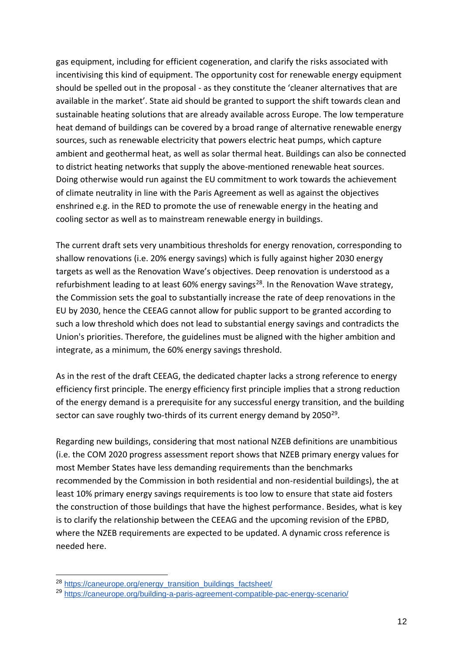gas equipment, including for efficient cogeneration, and clarify the risks associated with incentivising this kind of equipment. The opportunity cost for renewable energy equipment should be spelled out in the proposal - as they constitute the 'cleaner alternatives that are available in the market'. State aid should be granted to support the shift towards clean and sustainable heating solutions that are already available across Europe. The low temperature heat demand of buildings can be covered by a broad range of alternative renewable energy sources, such as renewable electricity that powers electric heat pumps, which capture ambient and geothermal heat, as well as solar thermal heat. Buildings can also be connected to district heating networks that supply the above-mentioned renewable heat sources. Doing otherwise would run against the EU commitment to work towards the achievement of climate neutrality in line with the Paris Agreement as well as against the objectives enshrined e.g. in the RED to promote the use of renewable energy in the heating and cooling sector as well as to mainstream renewable energy in buildings.

The current draft sets very unambitious thresholds for energy renovation, corresponding to shallow renovations (i.e. 20% energy savings) which is fully against higher 2030 energy targets as well as the Renovation Wave's objectives. Deep renovation is understood as a refurbishment leading to at least 60% energy savings<sup>28</sup>. In the Renovation Wave strategy, the Commission sets the goal to substantially increase the rate of deep renovations in the EU by 2030, hence the CEEAG cannot allow for public support to be granted according to such a low threshold which does not lead to substantial energy savings and contradicts the Union's priorities. Therefore, the guidelines must be aligned with the higher ambition and integrate, as a minimum, the 60% energy savings threshold.

As in the rest of the draft CEEAG, the dedicated chapter lacks a strong reference to energy efficiency first principle. The energy efficiency first principle implies that a strong reduction of the energy demand is a prerequisite for any successful energy transition, and the building sector can save roughly two-thirds of its current energy demand by 2050<sup>29</sup>.

Regarding new buildings, considering that most national NZEB definitions are unambitious (i.e. the COM 2020 progress assessment report shows that NZEB primary energy values for most Member States have less demanding requirements than the benchmarks recommended by the Commission in both residential and non-residential buildings), the at least 10% primary energy savings requirements is too low to ensure that state aid fosters the construction of those buildings that have the highest performance. Besides, what is key is to clarify the relationship between the CEEAG and the upcoming revision of the EPBD, where the NZEB requirements are expected to be updated. A dynamic cross reference is needed here.

<sup>&</sup>lt;sup>28</sup> [https://caneurope.org/energy\\_transition\\_buildings\\_factsheet/](https://caneurope.org/energy_transition_buildings_factsheet/)

<sup>29</sup> <https://caneurope.org/building-a-paris-agreement-compatible-pac-energy-scenario/>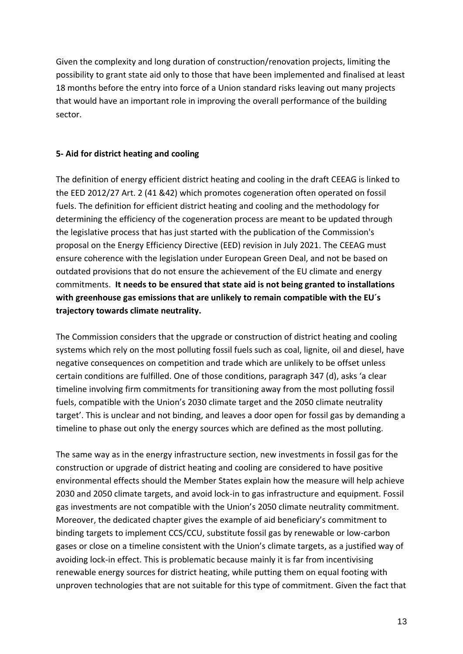Given the complexity and long duration of construction/renovation projects, limiting the possibility to grant state aid only to those that have been implemented and finalised at least 18 months before the entry into force of a Union standard risks leaving out many projects that would have an important role in improving the overall performance of the building sector.

#### **5- Aid for district heating and cooling**

The definition of energy efficient district heating and cooling in the draft CEEAG is linked to the EED 2012/27 Art. 2 (41 &42) which promotes cogeneration often operated on fossil fuels. The definition for efficient district heating and cooling and the methodology for determining the efficiency of the cogeneration process are meant to be updated through the legislative process that has just started with the publication of the Commission's proposal on the Energy Efficiency Directive (EED) revision in July 2021. The CEEAG must ensure coherence with the legislation under European Green Deal, and not be based on outdated provisions that do not ensure the achievement of the EU climate and energy commitments. **It needs to be ensured that state aid is not being granted to installations with greenhouse gas emissions that are unlikely to remain compatible with the EU´s trajectory towards climate neutrality.** 

The Commission considers that the upgrade or construction of district heating and cooling systems which rely on the most polluting fossil fuels such as coal, lignite, oil and diesel, have negative consequences on competition and trade which are unlikely to be offset unless certain conditions are fulfilled. One of those conditions, paragraph 347 (d), asks 'a clear timeline involving firm commitments for transitioning away from the most polluting fossil fuels, compatible with the Union's 2030 climate target and the 2050 climate neutrality target'. This is unclear and not binding, and leaves a door open for fossil gas by demanding a timeline to phase out only the energy sources which are defined as the most polluting.

The same way as in the energy infrastructure section, new investments in fossil gas for the construction or upgrade of district heating and cooling are considered to have positive environmental effects should the Member States explain how the measure will help achieve 2030 and 2050 climate targets, and avoid lock-in to gas infrastructure and equipment. Fossil gas investments are not compatible with the Union's 2050 climate neutrality commitment. Moreover, the dedicated chapter gives the example of aid beneficiary's commitment to binding targets to implement CCS/CCU, substitute fossil gas by renewable or low-carbon gases or close on a timeline consistent with the Union's climate targets, as a justified way of avoiding lock-in effect. This is problematic because mainly it is far from incentivising renewable energy sources for district heating, while putting them on equal footing with unproven technologies that are not suitable for this type of commitment. Given the fact that